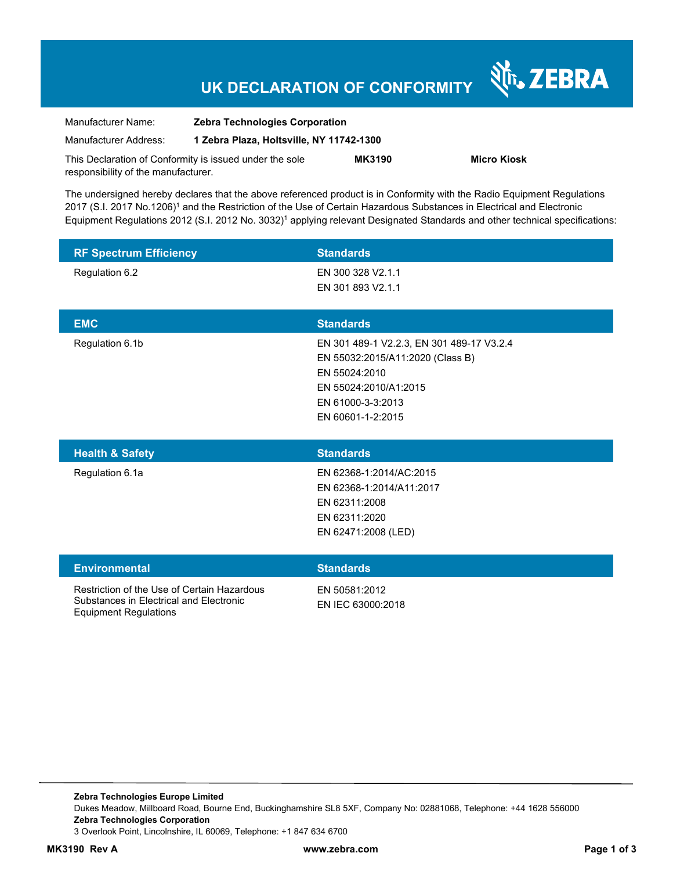# **UK DECLARATION OF CONFORMITY**

Nr. ZEBRA

| Manufacturer Name:                  | <b>Zebra Technologies Corporation</b>                   |               |                    |  |
|-------------------------------------|---------------------------------------------------------|---------------|--------------------|--|
| Manufacturer Address:               | 1 Zebra Plaza, Holtsville, NY 11742-1300                |               |                    |  |
|                                     | This Declaration of Conformity is issued under the sole | <b>MK3190</b> | <b>Micro Kiosk</b> |  |
| responsibility of the manufacturer. |                                                         |               |                    |  |

The undersigned hereby declares that the above referenced product is in Conformity with the Radio Equipment Regulations 2017 (S.I. 2017 No.1206)<sup>1</sup> and the Restriction of the Use of Certain Hazardous Substances in Electrical and Electronic Equipment Regulations 2012 (S.I. 2012 No. 3032)<sup>1</sup> applying relevant Designated Standards and other technical specifications:

| <b>RF Spectrum Efficiency</b> | <b>Standards</b>                                                                                                                                                  |
|-------------------------------|-------------------------------------------------------------------------------------------------------------------------------------------------------------------|
| Regulation 6.2                | EN 300 328 V2.1.1<br>EN 301 893 V2.1.1                                                                                                                            |
|                               |                                                                                                                                                                   |
| <b>EMC</b>                    | <b>Standards</b>                                                                                                                                                  |
| Regulation 6.1b               | EN 301 489-1 V2.2.3, EN 301 489-17 V3.2.4<br>EN 55032:2015/A11:2020 (Class B)<br>EN 55024:2010<br>EN 55024:2010/A1:2015<br>EN 61000-3-3:2013<br>EN 60601-1-2:2015 |

| <b>Health &amp; Safety</b> | <b>Standards</b>         |
|----------------------------|--------------------------|
| Regulation 6.1a            | EN 62368-1:2014/AC:2015  |
|                            | EN 62368-1:2014/A11:2017 |
|                            | EN 62311:2008            |
|                            | EN 62311:2020            |
|                            | EN 62471:2008 (LED)      |
|                            |                          |

| <b>Environmental</b>                                                                                                   | <b>Standards</b>                   |
|------------------------------------------------------------------------------------------------------------------------|------------------------------------|
| Restriction of the Use of Certain Hazardous<br>Substances in Electrical and Electronic<br><b>Equipment Regulations</b> | EN 50581:2012<br>EN IEC 63000:2018 |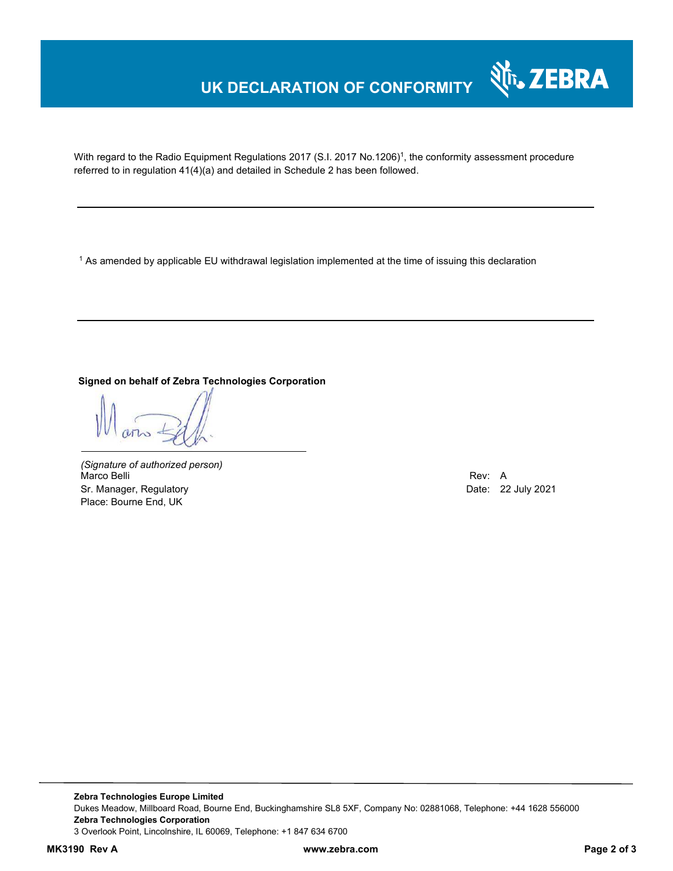## **UK DECLARATION OF CONFORMITY**



With regard to the Radio Equipment Regulations 2017 (S.I. 2017 No.1206)<sup>1</sup>, the conformity assessment procedure referred to in regulation 41(4)(a) and detailed in Schedule 2 has been followed.

 $^{\rm 1}$  As amended by applicable EU withdrawal legislation implemented at the time of issuing this declaration

#### **Signed on behalf of Zebra Technologies Corporation**

*(Signature of authorized person)* Marco Belli Rev: A Alexander Communication of the Communication of the Communication of the Communication of the Communication of the Communication of the Communication of the Communication of the Communication of the Comm Sr. Manager, Regulatory **Date: 22 July 2021** Place: Bourne End, UK

**Zebra Technologies Europe Limited**  Dukes Meadow, Millboard Road, Bourne End, Buckinghamshire SL8 5XF, Company No: 02881068, Telephone: +44 1628 556000 **Zebra Technologies Corporation**  3 Overlook Point, Lincolnshire, IL 60069, Telephone: +1 847 634 6700